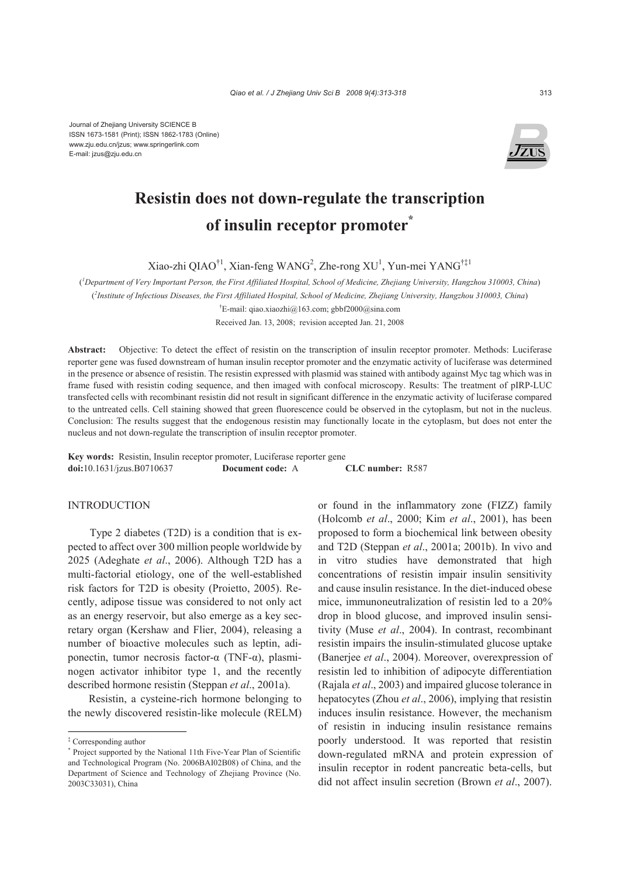Journal of Zhejiang University SCIENCE B ISSN 1673-1581 (Print); ISSN 1862-1783 (Online) www.zju.edu.cn/jzus; www.springerlink.com E-mail: jzus@zju.edu.cn



# **Resistin does not down-regulate the transcription of insulin receptor promoter\***

Xiao-zhi QIAO<sup>†1</sup>, Xian-feng WANG<sup>2</sup>, Zhe-rong XU<sup>1</sup>, Yun-mei YANG<sup>†‡1</sup>

( *1 Department of Very Important Person, the First Affiliated Hospital, School of Medicine, Zhejiang University, Hangzhou 310003, China*) ( *2 Institute of Infectious Diseases, the First Affiliated Hospital, School of Medicine, Zhejiang University, Hangzhou 310003, China*)

† E-mail: qiao.xiaozhi@163.com; gbbf2000@sina.com

Received Jan. 13, 2008; revision accepted Jan. 21, 2008

**Abstract:** Objective: To detect the effect of resistin on the transcription of insulin receptor promoter. Methods: Luciferase reporter gene was fused downstream of human insulin receptor promoter and the enzymatic activity of luciferase was determined in the presence or absence of resistin. The resistin expressed with plasmid was stained with antibody against Myc tag which was in frame fused with resistin coding sequence, and then imaged with confocal microscopy. Results: The treatment of pIRP-LUC transfected cells with recombinant resistin did not result in significant difference in the enzymatic activity of luciferase compared to the untreated cells. Cell staining showed that green fluorescence could be observed in the cytoplasm, but not in the nucleus. Conclusion: The results suggest that the endogenous resistin may functionally locate in the cytoplasm, but does not enter the nucleus and not down-regulate the transcription of insulin receptor promoter.

**Key words:** Resistin, Insulin receptor promoter, Luciferase reporter gene **doi:**10.1631/jzus.B0710637 **Document code:** A **CLC number:** R587

#### INTRODUCTION

Type 2 diabetes (T2D) is a condition that is expected to affect over 300 million people worldwide by 2025 (Adeghate *et al*., 2006). Although T2D has a multi-factorial etiology, one of the well-established risk factors for T2D is obesity (Proietto, 2005). Recently, adipose tissue was considered to not only act as an energy reservoir, but also emerge as a key secretary organ (Kershaw and Flier, 2004), releasing a number of bioactive molecules such as leptin, adiponectin, tumor necrosis factor-α (TNF-α), plasminogen activator inhibitor type 1, and the recently described hormone resistin (Steppan *et al*., 2001a).

Resistin, a cysteine-rich hormone belonging to the newly discovered resistin-like molecule (RELM) or found in the inflammatory zone (FIZZ) family (Holcomb *et al*., 2000; Kim *et al*., 2001), has been proposed to form a biochemical link between obesity and T2D (Steppan *et al*., 2001a; 2001b). In vivo and in vitro studies have demonstrated that high concentrations of resistin impair insulin sensitivity and cause insulin resistance. In the diet-induced obese mice, immunoneutralization of resistin led to a 20% drop in blood glucose, and improved insulin sensitivity (Muse *et al*., 2004). In contrast, recombinant resistin impairs the insulin-stimulated glucose uptake (Banerjee *et al*., 2004). Moreover, overexpression of resistin led to inhibition of adipocyte differentiation (Rajala *et al*., 2003) and impaired glucose tolerance in hepatocytes (Zhou *et al*., 2006), implying that resistin induces insulin resistance. However, the mechanism of resistin in inducing insulin resistance remains poorly understood. It was reported that resistin down-regulated mRNA and protein expression of insulin receptor in rodent pancreatic beta-cells, but did not affect insulin secretion (Brown *et al*., 2007).

<sup>‡</sup> Corresponding author

<sup>\*</sup> Project supported by the National 11th Five-Year Plan of Scientific and Technological Program (No. 2006BAI02B08) of China, and the Department of Science and Technology of Zhejiang Province (No. 2003C33031), China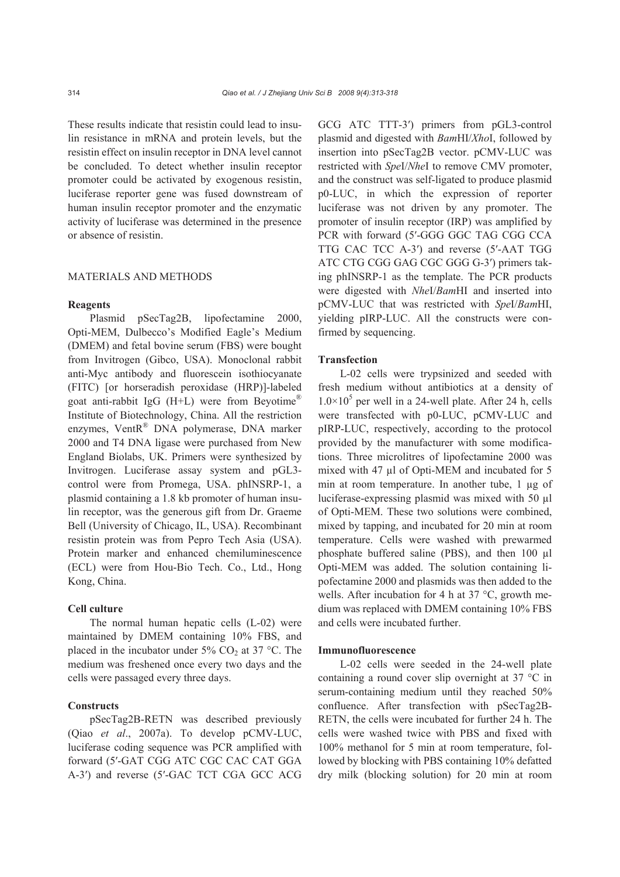These results indicate that resistin could lead to insulin resistance in mRNA and protein levels, but the resistin effect on insulin receptor in DNA level cannot be concluded. To detect whether insulin receptor promoter could be activated by exogenous resistin, luciferase reporter gene was fused downstream of human insulin receptor promoter and the enzymatic activity of luciferase was determined in the presence or absence of resistin.

## MATERIALS AND METHODS

#### **Reagents**

Plasmid pSecTag2B, lipofectamine 2000, Opti-MEM, Dulbecco's Modified Eagle's Medium (DMEM) and fetal bovine serum (FBS) were bought from Invitrogen (Gibco, USA). Monoclonal rabbit anti-Myc antibody and fluorescein isothiocyanate (FITC) [or horseradish peroxidase (HRP)]-labeled goat anti-rabbit IgG (H+L) were from Beyotime<sup>®</sup> Institute of Biotechnology, China. All the restriction enzymes, VentR® DNA polymerase, DNA marker 2000 and T4 DNA ligase were purchased from New England Biolabs, UK. Primers were synthesized by Invitrogen. Luciferase assay system and pGL3 control were from Promega, USA. phINSRP-1, a plasmid containing a 1.8 kb promoter of human insulin receptor, was the generous gift from Dr. Graeme Bell (University of Chicago, IL, USA). Recombinant resistin protein was from Pepro Tech Asia (USA). Protein marker and enhanced chemiluminescence (ECL) were from Hou-Bio Tech. Co., Ltd., Hong Kong, China.

## **Cell culture**

The normal human hepatic cells (L-02) were maintained by DMEM containing 10% FBS, and placed in the incubator under  $5\%$  CO<sub>2</sub> at 37 °C. The medium was freshened once every two days and the cells were passaged every three days.

# **Constructs**

pSecTag2B-RETN was described previously (Qiao *et al*., 2007a). To develop pCMV-LUC, luciferase coding sequence was PCR amplified with forward (5′-GAT CGG ATC CGC CAC CAT GGA A-3′) and reverse (5′-GAC TCT CGA GCC ACG GCG ATC TTT-3′) primers from pGL3-control plasmid and digested with *Bam*HI/*Xho*I, followed by insertion into pSecTag2B vector. pCMV-LUC was restricted with *Spe*I/*Nhe*I to remove CMV promoter, and the construct was self-ligated to produce plasmid p0-LUC, in which the expression of reporter luciferase was not driven by any promoter. The promoter of insulin receptor (IRP) was amplified by PCR with forward (5′-GGG GGC TAG CGG CCA TTG CAC TCC A-3′) and reverse (5′-AAT TGG ATC CTG CGG GAG CGC GGG G-3′) primers taking phINSRP-1 as the template. The PCR products were digested with *Nhe*I/*Bam*HI and inserted into pCMV-LUC that was restricted with *Spe*I/*Bam*HI, yielding pIRP-LUC. All the constructs were confirmed by sequencing.

# **Transfection**

L-02 cells were trypsinized and seeded with fresh medium without antibiotics at a density of  $1.0 \times 10^5$  per well in a 24-well plate. After 24 h, cells were transfected with p0-LUC, pCMV-LUC and pIRP-LUC, respectively, according to the protocol provided by the manufacturer with some modifications. Three microlitres of lipofectamine 2000 was mixed with 47 µl of Opti-MEM and incubated for 5 min at room temperature. In another tube, 1 µg of luciferase-expressing plasmid was mixed with 50 µl of Opti-MEM. These two solutions were combined, mixed by tapping, and incubated for 20 min at room temperature. Cells were washed with prewarmed phosphate buffered saline (PBS), and then 100 µl Opti-MEM was added. The solution containing lipofectamine 2000 and plasmids was then added to the wells. After incubation for 4 h at 37 °C, growth medium was replaced with DMEM containing 10% FBS and cells were incubated further.

#### **Immunofluorescence**

L-02 cells were seeded in the 24-well plate containing a round cover slip overnight at 37 °C in serum-containing medium until they reached 50% confluence. After transfection with pSecTag2B-RETN, the cells were incubated for further 24 h. The cells were washed twice with PBS and fixed with 100% methanol for 5 min at room temperature, followed by blocking with PBS containing 10% defatted dry milk (blocking solution) for 20 min at room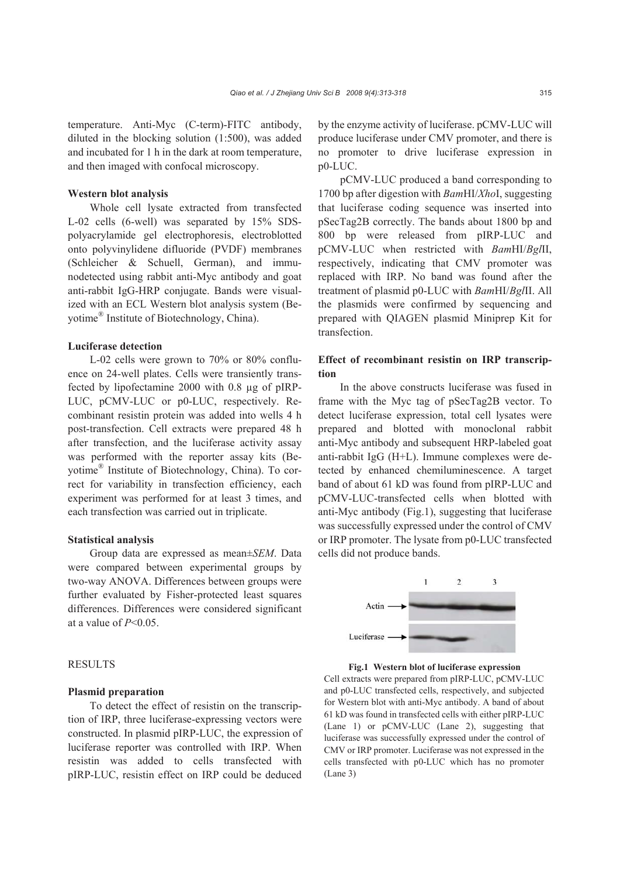temperature. Anti-Myc (C-term)-FITC antibody, diluted in the blocking solution (1:500), was added and incubated for 1 h in the dark at room temperature, and then imaged with confocal microscopy.

# **Western blot analysis**

Whole cell lysate extracted from transfected L-02 cells (6-well) was separated by 15% SDSpolyacrylamide gel electrophoresis, electroblotted onto polyvinylidene difluoride (PVDF) membranes (Schleicher & Schuell, German), and immunodetected using rabbit anti-Myc antibody and goat anti-rabbit IgG-HRP conjugate. Bands were visualized with an ECL Western blot analysis system (Beyotime® Institute of Biotechnology, China).

## **Luciferase detection**

L-02 cells were grown to 70% or 80% confluence on 24-well plates. Cells were transiently transfected by lipofectamine 2000 with 0.8 µg of pIRP-LUC, pCMV-LUC or p0-LUC, respectively. Recombinant resistin protein was added into wells 4 h post-transfection. Cell extracts were prepared 48 h after transfection, and the luciferase activity assay was performed with the reporter assay kits (Beyotime® Institute of Biotechnology, China). To correct for variability in transfection efficiency, each experiment was performed for at least 3 times, and each transfection was carried out in triplicate.

# **Statistical analysis**

Group data are expressed as mean±*SEM*. Data were compared between experimental groups by two-way ANOVA. Differences between groups were further evaluated by Fisher-protected least squares differences. Differences were considered significant at a value of *P*<0.05.

# RESULTS

#### **Plasmid preparation**

To detect the effect of resistin on the transcription of IRP, three luciferase-expressing vectors were constructed. In plasmid pIRP-LUC, the expression of luciferase reporter was controlled with IRP. When resistin was added to cells transfected with pIRP-LUC, resistin effect on IRP could be deduced by the enzyme activity of luciferase. pCMV-LUC will produce luciferase under CMV promoter, and there is no promoter to drive luciferase expression in p0-LUC.

pCMV-LUC produced a band corresponding to 1700 bp after digestion with *Bam*HI/*Xho*I, suggesting that luciferase coding sequence was inserted into pSecTag2B correctly. The bands about 1800 bp and 800 bp were released from pIRP-LUC and pCMV-LUC when restricted with *Bam*HI/*Bgl*II, respectively, indicating that CMV promoter was replaced with IRP. No band was found after the treatment of plasmid p0-LUC with *Bam*HI/*Bgl*II. All the plasmids were confirmed by sequencing and prepared with QIAGEN plasmid Miniprep Kit for transfection.

# **Effect of recombinant resistin on IRP transcription**

In the above constructs luciferase was fused in frame with the Myc tag of pSecTag2B vector. To detect luciferase expression, total cell lysates were prepared and blotted with monoclonal rabbit anti-Myc antibody and subsequent HRP-labeled goat anti-rabbit IgG (H+L). Immune complexes were detected by enhanced chemiluminescence. A target band of about 61 kD was found from pIRP-LUC and pCMV-LUC-transfected cells when blotted with anti-Myc antibody (Fig.1), suggesting that luciferase was successfully expressed under the control of CMV or IRP promoter. The lysate from p0-LUC transfected cells did not produce bands.



**Fig.1 Western blot of luciferase expression** 

Cell extracts were prepared from pIRP-LUC, pCMV-LUC and p0-LUC transfected cells, respectively, and subjected for Western blot with anti-Myc antibody. A band of about 61 kD was found in transfected cells with either pIRP-LUC (Lane 1) or pCMV-LUC (Lane 2), suggesting that luciferase was successfully expressed under the control of CMV or IRP promoter. Luciferase was not expressed in the cells transfected with p0-LUC which has no promoter (Lane 3)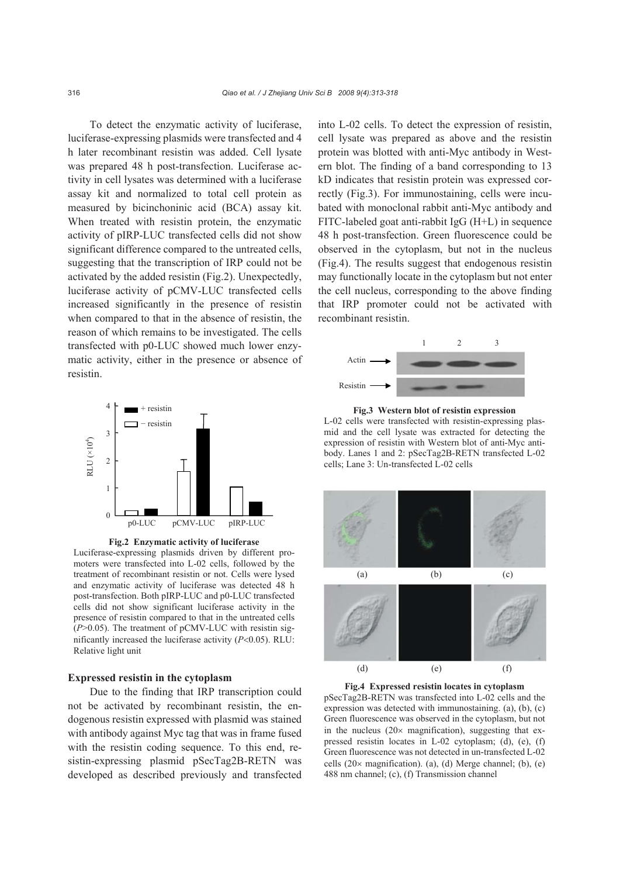To detect the enzymatic activity of luciferase, luciferase-expressing plasmids were transfected and 4 h later recombinant resistin was added. Cell lysate was prepared 48 h post-transfection. Luciferase activity in cell lysates was determined with a luciferase assay kit and normalized to total cell protein as measured by bicinchoninic acid (BCA) assay kit. When treated with resistin protein, the enzymatic activity of pIRP-LUC transfected cells did not show significant difference compared to the untreated cells, suggesting that the transcription of IRP could not be activated by the added resistin (Fig.2). Unexpectedly, luciferase activity of pCMV-LUC transfected cells increased significantly in the presence of resistin when compared to that in the absence of resistin, the reason of which remains to be investigated. The cells transfected with p0-LUC showed much lower enzymatic activity, either in the presence or absence of resistin.



**Fig.2 Enzymatic activity of luciferase** 

Luciferase-expressing plasmids driven by different promoters were transfected into L-02 cells, followed by the treatment of recombinant resistin or not. Cells were lysed and enzymatic activity of luciferase was detected 48 h post-transfection. Both pIRP-LUC and p0-LUC transfected cells did not show significant luciferase activity in the presence of resistin compared to that in the untreated cells (*P*>0.05). The treatment of pCMV-LUC with resistin significantly increased the luciferase activity (*P*<0.05). RLU: Relative light unit

### **Expressed resistin in the cytoplasm**

Due to the finding that IRP transcription could not be activated by recombinant resistin, the endogenous resistin expressed with plasmid was stained with antibody against Myc tag that was in frame fused with the resistin coding sequence. To this end, resistin-expressing plasmid pSecTag2B-RETN was developed as described previously and transfected into L-02 cells. To detect the expression of resistin, cell lysate was prepared as above and the resistin protein was blotted with anti-Myc antibody in Western blot. The finding of a band corresponding to 13 kD indicates that resistin protein was expressed correctly (Fig.3). For immunostaining, cells were incubated with monoclonal rabbit anti-Myc antibody and FITC-labeled goat anti-rabbit IgG (H+L) in sequence 48 h post-transfection. Green fluorescence could be observed in the cytoplasm, but not in the nucleus (Fig.4). The results suggest that endogenous resistin may functionally locate in the cytoplasm but not enter the cell nucleus, corresponding to the above finding that IRP promoter could not be activated with recombinant resistin.



**Fig.3 Western blot of resistin expression**  L-02 cells were transfected with resistin-expressing plasmid and the cell lysate was extracted for detecting the expression of resistin with Western blot of anti-Myc antibody. Lanes 1 and 2: pSecTag2B-RETN transfected L-02 cells; Lane 3: Un-transfected L-02 cells



**Fig.4 Expressed resistin locates in cytoplasm** 

pSecTag2B-RETN was transfected into L-02 cells and the expression was detected with immunostaining. (a), (b), (c) Green fluorescence was observed in the cytoplasm, but not in the nucleus  $(20 \times$  magnification), suggesting that expressed resistin locates in L-02 cytoplasm; (d), (e), (f) Green fluorescence was not detected in un-transfected L-02 cells  $(20 \times$  magnification). (a), (d) Merge channel; (b), (e) 488 nm channel; (c), (f) Transmission channel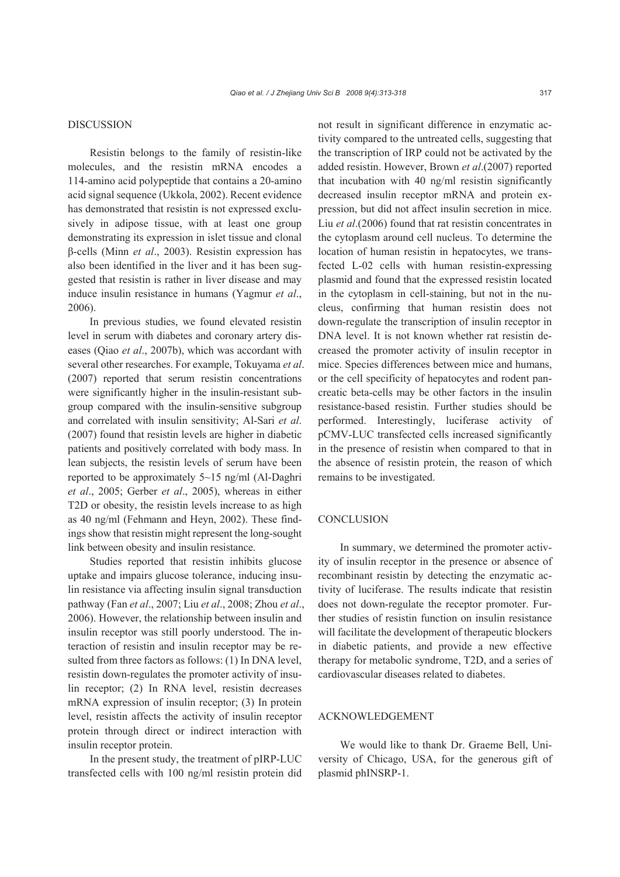#### DISCUSSION

Resistin belongs to the family of resistin-like molecules, and the resistin mRNA encodes a 114-amino acid polypeptide that contains a 20-amino acid signal sequence (Ukkola, 2002). Recent evidence has demonstrated that resistin is not expressed exclusively in adipose tissue, with at least one group demonstrating its expression in islet tissue and clonal β-cells (Minn *et al*., 2003). Resistin expression has also been identified in the liver and it has been suggested that resistin is rather in liver disease and may induce insulin resistance in humans (Yagmur *et al*., 2006).

In previous studies, we found elevated resistin level in serum with diabetes and coronary artery diseases (Qiao *et al*., 2007b), which was accordant with several other researches. For example, Tokuyama *et al*. (2007) reported that serum resistin concentrations were significantly higher in the insulin-resistant subgroup compared with the insulin-sensitive subgroup and correlated with insulin sensitivity; Al-Sari *et al*. (2007) found that resistin levels are higher in diabetic patients and positively correlated with body mass. In lean subjects, the resistin levels of serum have been reported to be approximately 5~15 ng/ml (Al-Daghri *et al*., 2005; Gerber *et al*., 2005), whereas in either T2D or obesity, the resistin levels increase to as high as 40 ng/ml (Fehmann and Heyn, 2002). These findings show that resistin might represent the long-sought link between obesity and insulin resistance.

Studies reported that resistin inhibits glucose uptake and impairs glucose tolerance, inducing insulin resistance via affecting insulin signal transduction pathway (Fan *et al*., 2007; Liu *et al*., 2008; Zhou *et al*., 2006). However, the relationship between insulin and insulin receptor was still poorly understood. The interaction of resistin and insulin receptor may be resulted from three factors as follows: (1) In DNA level, resistin down-regulates the promoter activity of insulin receptor; (2) In RNA level, resistin decreases mRNA expression of insulin receptor; (3) In protein level, resistin affects the activity of insulin receptor protein through direct or indirect interaction with insulin receptor protein.

In the present study, the treatment of pIRP-LUC transfected cells with 100 ng/ml resistin protein did not result in significant difference in enzymatic activity compared to the untreated cells, suggesting that the transcription of IRP could not be activated by the added resistin. However, Brown *et al*.(2007) reported that incubation with 40 ng/ml resistin significantly decreased insulin receptor mRNA and protein expression, but did not affect insulin secretion in mice. Liu *et al*.(2006) found that rat resistin concentrates in the cytoplasm around cell nucleus. To determine the location of human resistin in hepatocytes, we transfected L-02 cells with human resistin-expressing plasmid and found that the expressed resistin located in the cytoplasm in cell-staining, but not in the nucleus, confirming that human resistin does not down-regulate the transcription of insulin receptor in DNA level. It is not known whether rat resistin decreased the promoter activity of insulin receptor in mice. Species differences between mice and humans, or the cell specificity of hepatocytes and rodent pancreatic beta-cells may be other factors in the insulin resistance-based resistin. Further studies should be performed. Interestingly, luciferase activity of pCMV-LUC transfected cells increased significantly in the presence of resistin when compared to that in the absence of resistin protein, the reason of which remains to be investigated.

# **CONCLUSION**

In summary, we determined the promoter activity of insulin receptor in the presence or absence of recombinant resistin by detecting the enzymatic activity of luciferase. The results indicate that resistin does not down-regulate the receptor promoter. Further studies of resistin function on insulin resistance will facilitate the development of therapeutic blockers in diabetic patients, and provide a new effective therapy for metabolic syndrome, T2D, and a series of cardiovascular diseases related to diabetes.

# ACKNOWLEDGEMENT

We would like to thank Dr. Graeme Bell, University of Chicago, USA, for the generous gift of plasmid phINSRP-1.